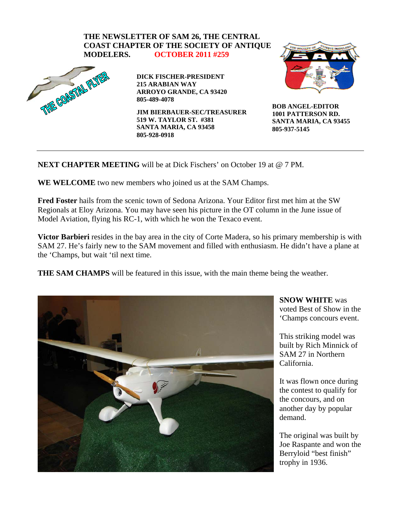

## **NEXT CHAPTER MEETING** will be at Dick Fischers' on October 19 at @ 7 PM.

**WE WELCOME** two new members who joined us at the SAM Champs.

**Fred Foster** hails from the scenic town of Sedona Arizona. Your Editor first met him at the SW Regionals at Eloy Arizona. You may have seen his picture in the OT column in the June issue of Model Aviation, flying his RC-1, with which he won the Texaco event.

**Victor Barbieri** resides in the bay area in the city of Corte Madera, so his primary membership is with SAM 27. He's fairly new to the SAM movement and filled with enthusiasm. He didn't have a plane at the 'Champs, but wait 'til next time.

**THE SAM CHAMPS** will be featured in this issue, with the main theme being the weather.



**SNOW WHITE** was voted Best of Show in the 'Champs concours event.

This striking model was built by Rich Minnick of SAM 27 in Northern California.

It was flown once during the contest to qualify for the concours, and on another day by popular demand.

The original was built by Joe Raspante and won the Berryloid "best finish" trophy in 1936.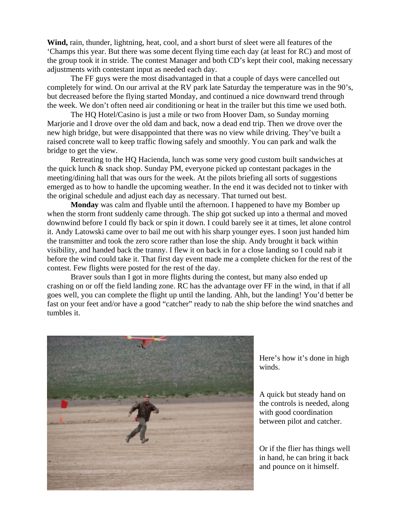**Wind,** rain, thunder, lightning, heat, cool, and a short burst of sleet were all features of the 'Champs this year. But there was some decent flying time each day (at least for RC) and most of the group took it in stride. The contest Manager and both CD's kept their cool, making necessary adjustments with contestant input as needed each day.

 The FF guys were the most disadvantaged in that a couple of days were cancelled out completely for wind. On our arrival at the RV park late Saturday the temperature was in the 90's, but decreased before the flying started Monday, and continued a nice downward trend through the week. We don't often need air conditioning or heat in the trailer but this time we used both.

The HQ Hotel/Casino is just a mile or two from Hoover Dam, so Sunday morning Marjorie and I drove over the old dam and back, now a dead end trip. Then we drove over the new high bridge, but were disappointed that there was no view while driving. They've built a raised concrete wall to keep traffic flowing safely and smoothly. You can park and walk the bridge to get the view.

Retreating to the HQ Hacienda, lunch was some very good custom built sandwiches at the quick lunch & snack shop. Sunday PM, everyone picked up contestant packages in the meeting/dining hall that was ours for the week. At the pilots briefing all sorts of suggestions emerged as to how to handle the upcoming weather. In the end it was decided not to tinker with the original schedule and adjust each day as necessary. That turned out best.

**Monday** was calm and flyable until the afternoon. I happened to have my Bomber up when the storm front suddenly came through. The ship got sucked up into a thermal and moved downwind before I could fly back or spin it down. I could barely see it at times, let alone control it. Andy Latowski came over to bail me out with his sharp younger eyes. I soon just handed him the transmitter and took the zero score rather than lose the ship. Andy brought it back within visibility, and handed back the tranny. I flew it on back in for a close landing so I could nab it before the wind could take it. That first day event made me a complete chicken for the rest of the contest. Few flights were posted for the rest of the day.

Braver souls than I got in more flights during the contest, but many also ended up crashing on or off the field landing zone. RC has the advantage over FF in the wind, in that if all goes well, you can complete the flight up until the landing. Ahh, but the landing! You'd better be fast on your feet and/or have a good "catcher" ready to nab the ship before the wind snatches and tumbles it.



Here's how it's done in high winds.

A quick but steady hand on the controls is needed, along with good coordination between pilot and catcher.

Or if the flier has things well in hand, he can bring it back and pounce on it himself.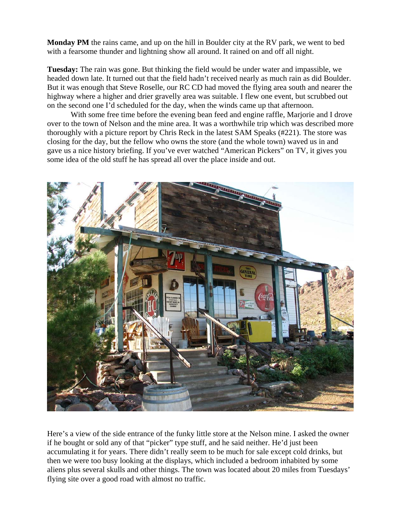**Monday PM** the rains came, and up on the hill in Boulder city at the RV park, we went to bed with a fearsome thunder and lightning show all around. It rained on and off all night.

**Tuesday:** The rain was gone. But thinking the field would be under water and impassible, we headed down late. It turned out that the field hadn't received nearly as much rain as did Boulder. But it was enough that Steve Roselle, our RC CD had moved the flying area south and nearer the highway where a higher and drier gravelly area was suitable. I flew one event, but scrubbed out on the second one I'd scheduled for the day, when the winds came up that afternoon.

 With some free time before the evening bean feed and engine raffle, Marjorie and I drove over to the town of Nelson and the mine area. It was a worthwhile trip which was described more thoroughly with a picture report by Chris Reck in the latest SAM Speaks (#221). The store was closing for the day, but the fellow who owns the store (and the whole town) waved us in and gave us a nice history briefing. If you've ever watched "American Pickers" on TV, it gives you some idea of the old stuff he has spread all over the place inside and out.



Here's a view of the side entrance of the funky little store at the Nelson mine. I asked the owner if he bought or sold any of that "picker" type stuff, and he said neither. He'd just been accumulating it for years. There didn't really seem to be much for sale except cold drinks, but then we were too busy looking at the displays, which included a bedroom inhabited by some aliens plus several skulls and other things. The town was located about 20 miles from Tuesdays' flying site over a good road with almost no traffic.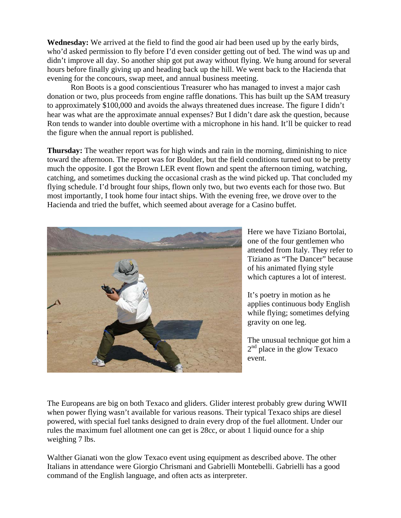**Wednesday:** We arrived at the field to find the good air had been used up by the early birds, who'd asked permission to fly before I'd even consider getting out of bed. The wind was up and didn't improve all day. So another ship got put away without flying. We hung around for several hours before finally giving up and heading back up the hill. We went back to the Hacienda that evening for the concours, swap meet, and annual business meeting.

 Ron Boots is a good conscientious Treasurer who has managed to invest a major cash donation or two, plus proceeds from engine raffle donations. This has built up the SAM treasury to approximately \$100,000 and avoids the always threatened dues increase. The figure I didn't hear was what are the approximate annual expenses? But I didn't dare ask the question, because Ron tends to wander into double overtime with a microphone in his hand. It'll be quicker to read the figure when the annual report is published.

**Thursday:** The weather report was for high winds and rain in the morning, diminishing to nice toward the afternoon. The report was for Boulder, but the field conditions turned out to be pretty much the opposite. I got the Brown LER event flown and spent the afternoon timing, watching, catching, and sometimes ducking the occasional crash as the wind picked up. That concluded my flying schedule. I'd brought four ships, flown only two, but two events each for those two. But most importantly, I took home four intact ships. With the evening free, we drove over to the Hacienda and tried the buffet, which seemed about average for a Casino buffet.



Here we have Tiziano Bortolai, one of the four gentlemen who attended from Italy. They refer t o Tiziano as "The Dancer" bec ause of his animated flying style which captures a lot of interes t.

It's poetry in motion as he applies continuous body English while flying; sometimes defying gravity on one leg.

The unusual technique got him a  $2<sup>nd</sup>$  place in the glow Texaco event.

The Europeans are big on both Texaco and gliders. Glider interest probably grew during WWII when power flying wasn't available for various reasons. Their typical Texaco ships are diesel powered, with special fuel tanks designed to drain every drop of the fuel allotment. Under our rules the maximum fuel allotment one can get is 28cc, or about 1 liquid ounce for a ship weighing 7 lbs.

Walther Gianati won the glow Texaco event using equipment as described above. The other Italians in attendance were Giorgio Chrismani and Gabrielli Montebelli. Gabrielli has a good command of the English language, and often acts as interpreter.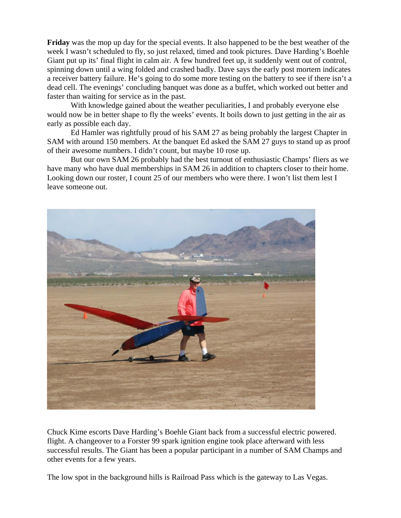**Friday** was the mop up day for the special events. It also happened to be the best weather of the week I wasn't scheduled to fly, so just relaxed, timed and took pictures. Dave Harding's Boehle Giant put up its' final flight in calm air. A few hundred feet up, it suddenly went out of control, spinning down until a wing folded and crashed badly. Dave says the early post mortem indicates a receiver battery failure. He's going to do some more testing on the battery to see if there isn't a dead cell. The evenings' concluding banquet was done as a buffet, which worked out better and faster than waiting for service as in the past.

With knowledge gained about the weather peculiarities, I and probably everyone else would now be in better shape to fly the weeks' events. It boils down to just getting in the air as early as possible each day.

Ed Hamler was rightfully proud of his SAM 27 as being probably the largest Chapter in SAM w ith around 150 members. At the banquet Ed asked the SAM 27 guys to stand up as proof of their awesome numbers. I didn't count, but maybe 10 rose up.

But our own SAM 26 probably had the best turnout of enthusiastic Champs' fliers as we have m any who have dual memberships in SAM 26 in addition to chapters closer to their home. Looking down our roster, I count 25 of our members who were there. I won't list them lest I leave someone out.



Chuck Kime escorts Dave Harding's Boehle Giant back from a successful electric powered. successful results. The Giant has been a popular participant in a number of SAM Champs and flight. A changeover to a Forster 99 spark ignition engine took place afterward with less other events for a few years.

The low spot in the background hills is Railroad Pass which is the gateway to Las Vegas.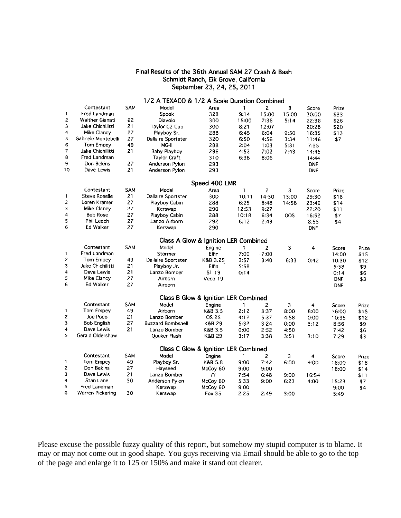## Final Results of the 36th Annual SAM 27 Crash & Bash Schmidt Ranch, Elk Grove, California September 23, 24, 25, 2011

 $\mathbf{1}$ 

 $\overline{2}$ 

 $\overline{\mathbf{3}}$ 

 $\overline{4}$ 

5

 $\,6\,$ 

 $\overline{7}$ 

8

 $\overline{9}$ 

 $10$ 

 $\mathbf{1}$ 

 $\boldsymbol{2}$ 

 $\overline{\mathbf{3}}$ 

 $\overline{4}$ 

5

6

 $\mathbf{1}$ 

 $\overline{c}$ 

3

 $\ddot{ }$ 

5

 $\mathbf{6}$ 

 $\mathbf 1$ 

 $\overline{c}$ 

3

 $\overline{\mathbf{4}}$ 

 $\overline{\mathbf{5}}$ 

## 1/2 A TEXACO & 1/2 A Scale Duration Combined Contestant SAM Model Area  $\overline{z}$ 3 Score Prize  $\mathbf{1}$ Fred Landman Spook 328  $9:14$ 15:00 15:00 30:00 \$33 **Walther Gianati** 62 Diavolo 15:00 300 7:36  $5:14$ 22:36 \$26 Jake Chichilitti  $21$ Taylor C2 Cub 300  $8:21$ 12:07 20:28 \$20 Mike Clancy 27 Playboy Sr. 288  $6:45$  $6:04$ 9:50 16:35  $$13$ Gabriele Montebelli 27 Dallaire Sportster 320  $6:50$ 4:56 3:34 11:46 \$7 Tom Empey 49  $MG-H$  $2:04$ 288  $1:03$  $5:31$  $7:35$ Jake Chichilitti 21 **Baby Playboy** 296  $4:52$ 7:02  $7:43$ 14:45 Fred Landman **Taylor Craft** 310 6:38  $8:06$ 14:44 27 Don Bekins Anderson Pylon 293 **DNF** Dave Lewis 21 Anderson Pylon 293 **DNF** Speed 400 LMR Contestant SAM Model Area  $\mathbf{1}$  $\overline{c}$ 3 Score Prize Steve Roselle  $10:11$ 21 **Dallaire Sportster** 14:30 300 15:00 29:30 \$18 Loren Kramer 27 Playboy Cabin 288  $6:25$  $8:48$ 14:58 23:46  $$14$ Mike Clancy 27 Kerswap 290 12:53  $9:27$ 22:20  $$11$ **Bob Rose** 27 Playboy Cabin 288 10:18  $6:34$ oos 16:52 \$7 Phil Leech 27 Lanzo Airborn 292  $6:12$  $2:43$ 8:55 \$4 Ed Walker 27 Kerswap 290 **DNF** Class A Glow & Ignition LER Combined Contestant SAM Model Engine  $\overline{2}$  $\overline{\mathbf{3}}$  $\overline{\mathbf{4}}$ Score 1 Fred Landman Stormer Elfin 7:00  $7:00$ 14:00 Tom Empey 49 Dallaire Sportster  $3:57$ 6:33 K&B 3.25  $3:40$  $0:42$ 10:30 Jake Chichilitti 21 Playboy Jr. **Elfin**  $5:58$ 5:58 Dave Lewis 21 Lanzo Bomber ST 19  $0:14$  $0:14$ Mike Clancy 27 Airborn Veco 19 **DNF** Ed Walker 27 Airborn **DNF** Class B Glow & Ignition LER Combined Contestant SAM Model Engine  $\mathbf{1}$  $\overline{2}$ 3 4 Score Tom Empey 49 Airborn K&B 3.5  $2:12$  $3:37$  $8:00$ 8:00 16:00 Joe Poco 21 **OS 25** Lanzo Bomber  $4:12$ 5:37 4:58  $0:00$ 10:35 **Bob English** 27 **Buzzard Bombshell K&B 29**  $5:32$  $3:24$  $0:00$  $3:12$ 8:56 Dave Lewis 21 Lanzo Bomber K&B 3.5  $0:00$  $2:52$ 4:50  $7:42$ Gerald Oldershaw Quaker Flash K&B 29  $3:17$  $3:10$  $3:38$  $3:51$  $7:29$ Class C Glow & Ignition LER Combined Contestant SAM Model Engine  $\overline{2}$  $\overline{3}$ 4 Score  $\mathbf{1}$

Prize

 $$15$ 

 $$12$ 

\$9

\$6

\$3

Prize

\$15

 $$12$ 

\$9

\$6

\$3

Prize  $\mathbf{1}$ **Tom Empey** 49 Playboy Sr. K&B 5.8  $9:00$  $7:42$ 6:00  $9:00$ 18:00 \$18  $\overline{c}$ Don Bekins 27 Hayseed McCoy 60  $9:00$  $9:00$ 18:00 \$14  $\overline{3}$ Dave Lewis 21 Lanzo Bomber ??  $7:54$  $6:48$  $9:00$ 16:54  $$11$  $\overline{\mathbf{4}}$ Stan Lane 30 Anderson Pylon McCoy 60  $5:33$  $9:00$ 6:23 4:00 15:23 \$7 5 Fred Landman Kerswap McCov<sub>60</sub>  $9:00$  $9:00$ \$4 6 30 Warren Pickering Kerswap Fox 35  $2:25$  $2:49$  $3:00$  $5:49$ 

Please excuse the possible fuzzy quality of this report, but somehow my stupid computer is to blame. It may or may not come out in good shape. You guys receiving via Email should be able to go to the top of the page and enlarge it to 125 or 150% and make it stand out clearer.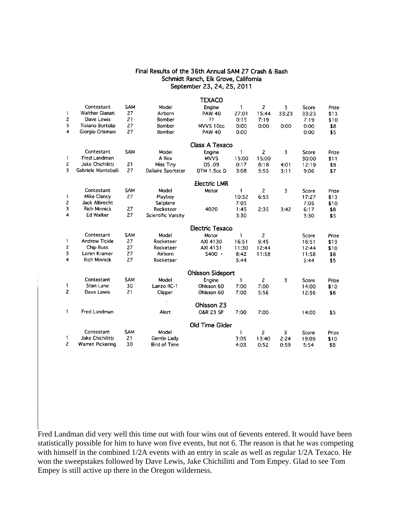## Final Results of the 36th Annual SAM 27 Crash & Bash Schmidt Ranch, Elk Grove, California September 23, 24, 25, 2011

|                         |                        |            |                     | TEXACO                  |              |                |       |       |       |
|-------------------------|------------------------|------------|---------------------|-------------------------|--------------|----------------|-------|-------|-------|
|                         | Contestant             | SAM        | Model               | Engine                  | 1            | $\overline{c}$ | 3     | Score | Prize |
| 1                       | <b>Walther Gianati</b> | 27         | Airborn             | <b>PAW 40</b>           | 27:01        | 15:44          | 33:23 | 33:23 | \$13  |
| 2                       | Dave Lewis             | 21         | Bomber              | 77                      | 0:15         | 7:19           |       | 7:19  | \$10  |
| 3                       | Tiziano Bortolai       | 27         | Bomber              | MVVS 10cc               | 0:00         | 0:00           | 0:00  | 0:00  | \$8   |
| $\overline{\mathbf{4}}$ | Giorgio Crismani       | 27         | Bomber              | <b>PAW 40</b>           | 0:00         |                |       | 0:00  | \$5   |
|                         |                        |            |                     | Class A Texaco          |              |                |       |       |       |
|                         | Contestant             | <b>SAM</b> | Model               | Engine                  | 1            | 2              | 3     | Score | Prize |
| 1                       | Fred Landman           |            | A Box               | <b>MVVS</b>             | 15:00        | 15:00          |       | 30:00 | \$11  |
| $\overline{c}$          | Jake Chichilitti       | 21         | Miss Tiny           | <b>0S.09</b>            | 0:17         | 8:18           | 4:01  | 12:19 | \$9   |
| 3                       | Gabriele Montebelli    | 27         | Dallaire Sportster  | <b>OTM 1.5cc D</b>      | 3:08         | 5:55           | 3:11  | 9:06  | \$7   |
|                         |                        |            |                     | <b>Electric LMR</b>     |              |                |       |       |       |
|                         | Contestant             | <b>SAM</b> | Model               | Motor                   | 1            | $\overline{c}$ | 3     | Score | Prize |
| 1                       | Mike Clancy            | 27         | Playboy             |                         | 10:32        | 6:55           |       | 17:27 | \$13  |
| 2                       | Jack Albrecht          |            | Sailplane           |                         | 7:05         |                |       | 7:05  | \$10  |
| 3                       | <b>Rich Minnick</b>    | 27         | Rocketeer           | 4020                    | 1:45         | 2:35           | 3:42  | 6:17  | \$8   |
| 4                       | <b>Ed Walker</b>       | 27         | Scientific Varsity  |                         | 3:30         |                |       | 3:30  | \$5   |
|                         |                        |            |                     | <b>Electric Texaco</b>  |              |                |       |       |       |
|                         | Contestant             | SAM        | Model               | Motor                   | 1            | 2              |       | Score | Prize |
| 1                       | <b>Andrew Tickle</b>   | 27         | Rocketeer           | AXI 4130                | 16:51        | 9:45           |       | 16:51 | \$13  |
| 2                       | <b>Chip Buss</b>       | 27         | Rocketeer           | AXI 4131                | 11:30        | 12:44          |       | 12:44 | \$10  |
| 3                       | Loren Kramer           | 27         | Airborn             | $S400 -$                | 8:42         | 11:58          |       | 11:58 | \$8   |
| 4                       | <b>Rich Minnick</b>    | 27         | Rocketeer           |                         | 5:44         |                |       | 5:44  | \$5   |
|                         |                        |            |                     | <b>Ohlsson Sideport</b> |              |                |       |       |       |
|                         | Contestant             | <b>SAM</b> | Model               | Engine                  | 1            | 2              | 3     | Score | Prize |
| 1                       | Stan Lane              | 30         | Lanzo RC-1          | Ohlsson 60              | 7:00         | 7:00           |       | 14:00 | \$10  |
| $\overline{c}$          | Dave Lewis             | 21         | Clipper             | Ohlsson 60              | 7:00         | 5:56           |       | 12:56 | \$8   |
|                         |                        |            |                     | Ohlsson 23              |              |                |       |       |       |
| 1                       | Fred Landman           |            | Alert               | <b>O&amp;R 23 SP</b>    | 7:00         | 7:00           |       | 14:00 | \$5   |
|                         |                        |            |                     | Old Time Glider         |              |                |       |       |       |
|                         | Contestant             | <b>SAM</b> | Model               |                         | $\mathbf{1}$ | 2              | 3     | Score | Prize |
| 1                       | Jake Chichilitti       | 21         | Gentle Lady         |                         | 3:05         | 13:40          | 2:24  | 19:09 | \$10  |
| 2                       | Warren Pickering       | 30         | <b>Bird of Time</b> |                         | 4:03         | 0:52           | 0:59  | 5:54  | \$8   |
|                         |                        |            |                     |                         |              |                |       |       |       |

Fred Landman did very well this time out with four wins out of 6events entered. It would have been statistically possible for him to have won five events, but not 6. The reason is that he was competing with himself in the combined 1/2A events with an entry in scale as well as regular 1/2A Texaco. He won the sweepstakes followed by Dave Lewis, Jake Chichilitti and Tom Empey. Glad to see Tom Empey is still active up there in the Oregon wilderness.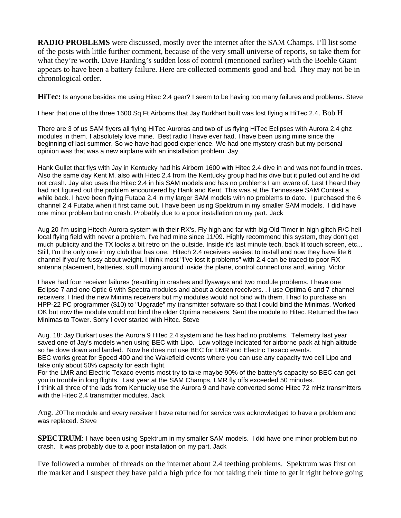**RADIO PROBLEMS** were discussed, mostly over the internet after the SAM Champs. I'll list some of the posts with little further comment, because of the very small universe of reports, so take them for what they're worth. Dave Harding's sudden loss of control (mentioned earlier) with the Boehle Giant appears to have been a battery failure. Here are collected comments good and bad. They may not be in chronological order.

**HiTec:** Is anyone besides me using Hitec 2.4 gear? I seem to be having too many failures and problems. Steve

I hear that one of the three 1600 Sq Ft Airborns that Jay Burkhart built was lost flying a HiTec 2.4. Bob H

There are 3 of us SAM flyers all flying HiTec Auroras and two of us flying HiTec Eclipses with Aurora 2.4 ghz modules in them. I absolutely love mine. Best radio I have ever had. I have been using mine since the beginning of last summer. So we have had good experience. We had one mystery crash but my personal opinion was that was a new airplane with an installation problem. Jay

Hank Gullet that flys with Jay in Kentucky had his Airborn 1600 with Hitec 2.4 dive in and was not found in trees. Also the same day Kent M. also with Hitec 2.4 from the Kentucky group had his dive but it pulled out and he did not crash. Jay also uses the Hitec 2.4 in his SAM models and has no problems I am aware of. Last I heard they had not figured out the problem encountered by Hank and Kent. This was at the Tennessee SAM Contest a while back. I have been flying Futaba 2.4 in my larger SAM models with no problems to date. I purchased the 6 channel 2.4 Futaba when it first came out. I have been using Spektrum in my smaller SAM models. I did have one minor problem but no crash. Probably due to a poor installation on my part. Jack

Aug 20 I'm using Hitech Aurora system with their RX's, Fly high and far with big Old Timer in high glitch R/C hell local flying field with never a problem. I've had mine since 11/09. Highly recommend this system, they don't get much publicity and the TX looks a bit retro on the outside. Inside it's last minute tech, back lit touch screen, etc... Still, I'm the only one in my club that has one. Hitech 2.4 receivers easiest to install and now they have lite 6 channel if you're fussy about weight. I think most "I've lost it problems" with 2.4 can be traced to poor RX antenna placement, batteries, stuff moving around inside the plane, control connections and, wiring. Victor

I have had four receiver failures (resulting in crashes and flyaways and two module problems. I have one Eclipse 7 and one Optic 6 with Spectra modules and about a dozen receivers. . I use Optima 6 and 7 channel receivers. I tried the new Minima receivers but my modules would not bind with them. I had to purchase an HPP-22 PC programmer (\$10) to "Upgrade" my transmitter software so that I could bind the Minimas. Worked OK but now the module would not bind the older Optima receivers. Sent the module to Hitec. Returned the two Minimas to Tower. Sorry I ever started with Hitec. Steve

Aug. 18: Jay Burkart uses the Aurora 9 Hitec 2.4 system and he has had no problems. Telemetry last year saved one of Jay's models when using BEC with Lipo. Low voltage indicated for airborne pack at high altitude so he dove down and landed. Now he does not use BEC for LMR and Electric Texaco events.

BEC works great for Speed 400 and the Wakefield events where you can use any capacity two cell Lipo and take only about 50% capacity for each flight.

For the LMR and Electric Texaco events most try to take maybe 90% of the battery's capacity so BEC can get you in trouble in long flights. Last year at the SAM Champs, LMR fly offs exceeded 50 minutes.

I think all three of the lads from Kentucky use the Aurora 9 and have converted some Hitec 72 mHz transmitters with the Hitec 2.4 transmitter modules. Jack

Aug. 20The module and every receiver I have returned for service was acknowledged to have a problem and was replaced. Steve

**SPECTRUM**: I have been using Spektrum in my smaller SAM models. I did have one minor problem but no crash. It was probably due to a poor installation on my part. Jack

I've followed a number of threads on the internet about 2.4 teething problems. Spektrum was first on the market and I suspect they have paid a high price for not taking their time to get it right before going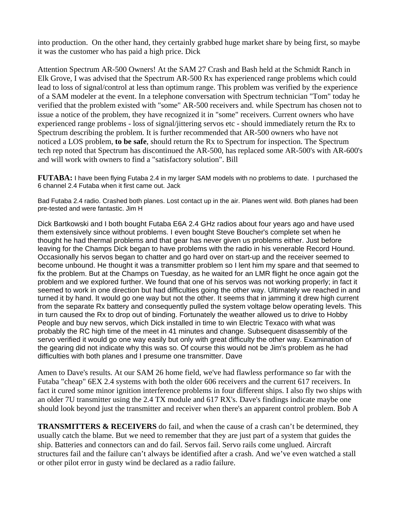into production. On the other hand, they certainly grabbed huge market share by being first, so maybe it was the customer who has paid a high price. Dick

Attention Spectrum AR-500 Owners! At the SAM 27 Crash and Bash held at the Schmidt Ranch in Elk Grove, I was advised that the Spectrum AR-500 Rx has experienced range problems which could lead to loss of signal/control at less than optimum range. This problem was verified by the experience of a SAM modeler at the event. In a telephone conversation with Spectrum technician "Tom" today he verified that the problem existed with "some" AR-500 receivers and. while Spectrum has chosen not to issue a notice of the problem, they have recognized it in "some" receivers. Current owners who have experienced range problems - loss of signal/jittering servos etc - should immediately return the Rx to Spectrum describing the problem. It is further recommended that AR-500 owners who have not noticed a LOS problem, **to be safe**, should return the Rx to Spectrum for inspection. The Spectrum tech rep noted that Spectrum has discontinued the AR-500, has replaced some AR-500's with AR-600's and will work with owners to find a "satisfactory solution". Bill

**FUTABA:** I have been flying Futaba 2.4 in my larger SAM models with no problems to date. I purchased the 6 channel 2.4 Futaba when it first came out. Jack

Bad Futaba 2.4 radio. Crashed both planes. Lost contact up in the air. Planes went wild. Both planes had been pre-tested and were fantastic. Jim H

Dick Bartkowski and I both bought Futaba E6A 2.4 GHz radios about four years ago and have used them extensively since without problems. I even bought Steve Boucher's complete set when he thought he had thermal problems and that gear has never given us problems either. Just before leaving for the Champs Dick began to have problems with the radio in his venerable Record Hound. Occasionally his servos began to chatter and go hard over on start-up and the receiver seemed to become unbound. He thought it was a transmitter problem so I lent him my spare and that seemed to fix the problem. But at the Champs on Tuesday, as he waited for an LMR flight he once again got the problem and we explored further. We found that one of his servos was not working properly; in fact it seemed to work in one direction but had difficulties going the other way. Ultimately we reached in and turned it by hand. It would go one way but not the other. It seems that in jamming it drew high current from the separate Rx battery and consequently pulled the system voltage below operating levels. This in turn caused the Rx to drop out of binding. Fortunately the weather allowed us to drive to Hobby People and buy new servos, which Dick installed in time to win Electric Texaco with what was probably the RC high time of the meet in 41 minutes and change. Subsequent disassembly of the servo verified it would go one way easily but only with great difficulty the other way. Examination of the gearing did not indicate why this was so. Of course this would not be Jim's problem as he had difficulties with both planes and I presume one transmitter. Dave

Amen to Dave's results. At our SAM 26 home field, we've had flawless performance so far with the Futaba "cheap" 6EX 2.4 systems with both the older 606 receivers and the current 617 receivers. In fact it cured some minor ignition interference problems in four different ships. I also fly two ships with an older 7U transmitter using the 2.4 TX module and 617 RX's. Dave's findings indicate maybe one should look beyond just the transmitter and receiver when there's an apparent control problem. Bob A

**TRANSMITTERS & RECEIVERS** do fail, and when the cause of a crash can't be determined, they usually catch the blame. But we need to remember that they are just part of a system that guides the ship. Batteries and connectors can and do fail. Servos fail. Servo rails come unglued. Aircraft structures fail and the failure can't always be identified after a crash. And we've even watched a stall or other pilot error in gusty wind be declared as a radio failure.